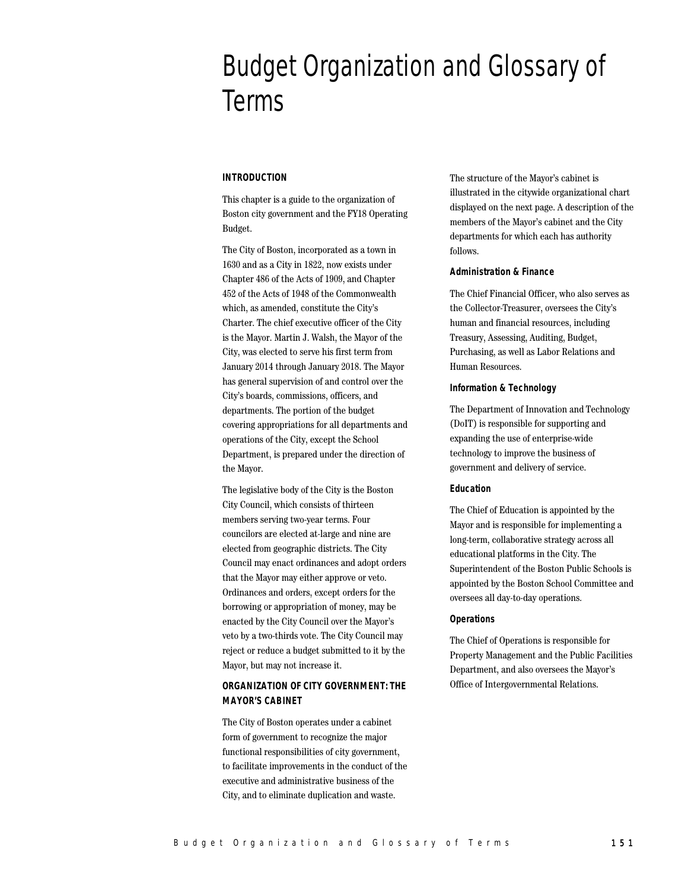# Budget Organization and Glossary of Terms

# **INTRODUCTION**

This chapter is a guide to the organization of Boston city government and the FY18 Operating Budget.

The City of Boston, incorporated as a town in 1630 and as a City in 1822, now exists under Chapter 486 of the Acts of 1909, and Chapter 452 of the Acts of 1948 of the Commonwealth which, as amended, constitute the City's Charter. The chief executive officer of the City is the Mayor. Martin J. Walsh, the Mayor of the City, was elected to serve his first term from January 2014 through January 2018. The Mayor has general supervision of and control over the City's boards, commissions, officers, and departments. The portion of the budget covering appropriations for all departments and operations of the City, except the School Department, is prepared under the direction of the Mayor.

The legislative body of the City is the Boston City Council, which consists of thirteen members serving two-year terms. Four councilors are elected at-large and nine are elected from geographic districts. The City Council may enact ordinances and adopt orders that the Mayor may either approve or veto. Ordinances and orders, except orders for the borrowing or appropriation of money, may be enacted by the City Council over the Mayor's veto by a two-thirds vote. The City Council may reject or reduce a budget submitted to it by the Mayor, but may not increase it.

# **ORGANIZATION OF CITY GOVERNMENT: THE MAYOR'S CABINET**

The City of Boston operates under a cabinet form of government to recognize the major functional responsibilities of city government, to facilitate improvements in the conduct of the executive and administrative business of the City, and to eliminate duplication and waste.

The structure of the Mayor's cabinet is illustrated in the citywide organizational chart displayed on the next page. A description of the members of the Mayor's cabinet and the City departments for which each has authority follows.

# **Administration & Finance**

The Chief Financial Officer, who also serves as the Collector-Treasurer, oversees the City's human and financial resources, including Treasury, Assessing, Auditing, Budget, Purchasing, as well as Labor Relations and Human Resources.

# **Information & Technology**

The Department of Innovation and Technology (DoIT) is responsible for supporting and expanding the use of enterprise-wide technology to improve the business of government and delivery of service.

# **Education**

The Chief of Education is appointed by the Mayor and is responsible for implementing a long-term, collaborative strategy across all educational platforms in the City. The Superintendent of the Boston Public Schools is appointed by the Boston School Committee and oversees all day-to-day operations.

# **Operations**

The Chief of Operations is responsible for Property Management and the Public Facilities Department, and also oversees the Mayor's Office of Intergovernmental Relations.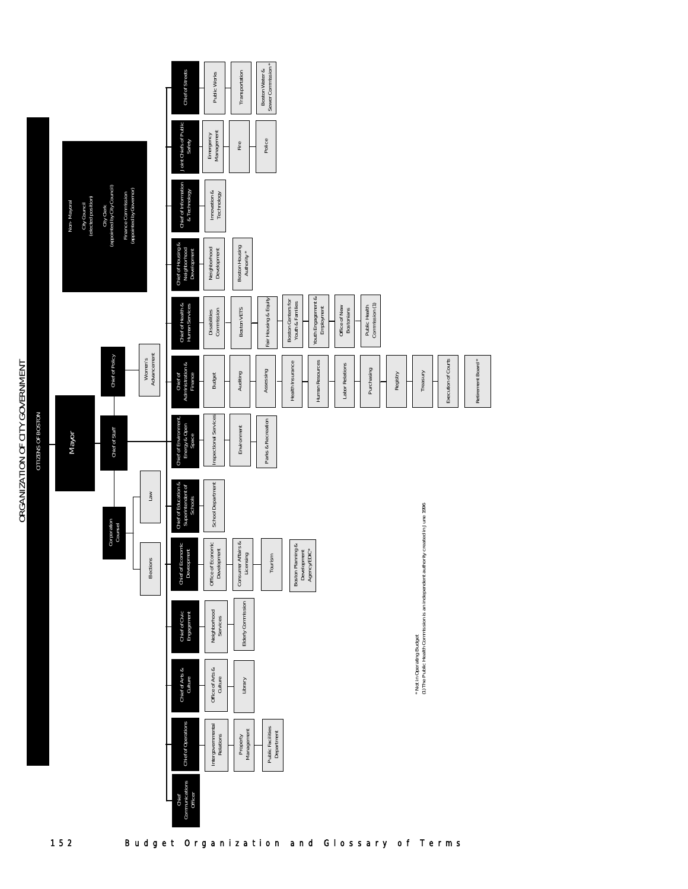|                    |                                                   |                                           |                                               |                        | Chief of Streets                                     | Public Works                      |         | Transportation                  | Boston Water &     | Sewer Commission *              |                                        |                             |                                  |  |                                    |                                                                                                                |                                 |  |          |  |          |                     |  |                   |  |
|--------------------|---------------------------------------------------|-------------------------------------------|-----------------------------------------------|------------------------|------------------------------------------------------|-----------------------------------|---------|---------------------------------|--------------------|---------------------------------|----------------------------------------|-----------------------------|----------------------------------|--|------------------------------------|----------------------------------------------------------------------------------------------------------------|---------------------------------|--|----------|--|----------|---------------------|--|-------------------|--|
|                    |                                                   |                                           |                                               |                        | Joint Chiefs of Public<br>Safety                     | Emergency<br>Management           |         | Fire                            | Police             |                                 |                                        |                             |                                  |  |                                    |                                                                                                                |                                 |  |          |  |          |                     |  |                   |  |
|                    | City Council<br>(elected position)<br>Non-Mayoral | City Clerk<br>(appointed by City Council) | Finance Commission<br>(appointed by Governor) |                        | Chief of Information<br>& Technology                 | Imovation &<br>Technology         |         |                                 |                    |                                 |                                        |                             |                                  |  |                                    |                                                                                                                |                                 |  |          |  |          |                     |  |                   |  |
|                    |                                                   |                                           |                                               |                        | Chief of Housing &<br>Neighborhood<br>Development    | Neighborhood<br>Development       |         | Boston Housing<br>Authority *   |                    |                                 |                                        |                             |                                  |  |                                    |                                                                                                                |                                 |  |          |  |          |                     |  |                   |  |
|                    |                                                   |                                           |                                               |                        | Chief of Health &                                    | Commission<br>Disabilities        |         | Boston VETS                     |                    | Fair Housing & Equity           | Boston Centers for<br>Youth & Families |                             | Youth Engagement &<br>Employment |  | Office of New<br><b>Bostonians</b> |                                                                                                                | Public Health<br>Commission (1) |  |          |  |          |                     |  |                   |  |
|                    |                                                   | Chief of Policy                           |                                               | Advancement<br>Women's | Chief of<br>Administration &<br>Finance              | <b>Budget</b>                     |         | Auditing                        | Assessing          |                                 | Health Insurance                       |                             | Human Resources                  |  | Labor Relations                    |                                                                                                                | Purchasing                      |  | Registry |  | Treasury | Execution of Courts |  | Retirement Board* |  |
| CITIZENS OF BOSTON | Mayor                                             | Chief of Staff                            |                                               |                        | Chief of Environment,<br>Energy & Open<br>Space      | Inspectional Services             |         | Environment                     | Parks & Recreation |                                 |                                        |                             |                                  |  |                                    |                                                                                                                |                                 |  |          |  |          |                     |  |                   |  |
|                    |                                                   |                                           |                                               | Law                    | Chief of Education &<br>Superintendent of<br>Schools | School Department                 |         |                                 |                    |                                 |                                        |                             |                                  |  |                                    |                                                                                                                |                                 |  |          |  |          |                     |  |                   |  |
|                    |                                                   | Corporation<br>Counsel                    |                                               | Elections              | conomic<br>oment<br>Chief of E<br>Deveo              | Office of Economic<br>Development |         | Consumer Affairs &<br>Licensing |                    | Tourism                         | Boston Planning &                      | Development<br>Agency/EDIC* |                                  |  |                                    |                                                                                                                |                                 |  |          |  |          |                     |  |                   |  |
|                    |                                                   |                                           |                                               |                        | Chief of Civic<br>Engagement                         | Neighborhood<br>Services          |         | Elderly Commission              |                    |                                 |                                        |                             |                                  |  |                                    |                                                                                                                |                                 |  |          |  |          |                     |  |                   |  |
|                    |                                                   |                                           |                                               |                        | Chief of Arts &<br>Culture                           | Office of Arts &                  | Culture | Library                         |                    |                                 |                                        |                             |                                  |  |                                    | * Not in Operating Budget<br>(1) The Public Health Commission is an independent authority created in June 1996 |                                 |  |          |  |          |                     |  |                   |  |
|                    |                                                   |                                           |                                               |                        | Chief of Operations                                  | Intergovernmental<br>Relations    |         | Management<br>Property          |                    | Public Facilities<br>Department |                                        |                             |                                  |  |                                    |                                                                                                                |                                 |  |          |  |          |                     |  |                   |  |
|                    |                                                   |                                           |                                               |                        | Chief<br>Communications<br>Officer                   |                                   |         |                                 |                    |                                 |                                        |                             |                                  |  |                                    |                                                                                                                |                                 |  |          |  |          |                     |  |                   |  |

# ORGANIZATION OF CITY GOVERNMENT ORGANIZATION OF CITY GOVERNMENT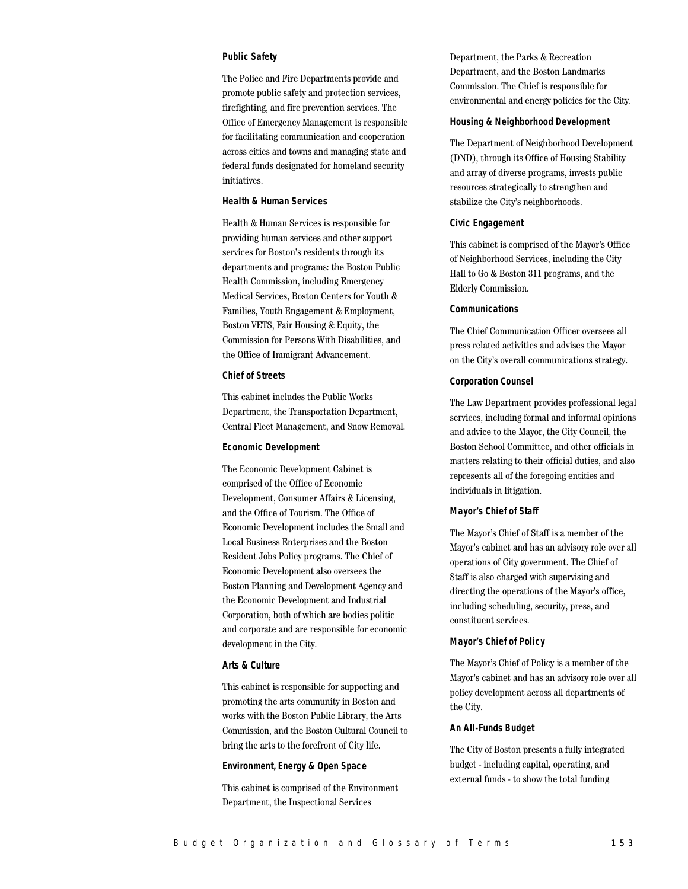# **Public Safety**

The Police and Fire Departments provide and promote public safety and protection services, firefighting, and fire prevention services. The Office of Emergency Management is responsible for facilitating communication and cooperation across cities and towns and managing state and federal funds designated for homeland security initiatives.

# **Health & Human Services**

Health & Human Services is responsible for providing human services and other support services for Boston's residents through its departments and programs: the Boston Public Health Commission, including Emergency Medical Services, Boston Centers for Youth & Families, Youth Engagement & Employment, Boston VETS, Fair Housing & Equity, the Commission for Persons With Disabilities, and the Office of Immigrant Advancement.

# **Chief of Streets**

This cabinet includes the Public Works Department, the Transportation Department, Central Fleet Management, and Snow Removal.

#### **Economic Development**

The Economic Development Cabinet is comprised of the Office of Economic Development, Consumer Affairs & Licensing, and the Office of Tourism. The Office of Economic Development includes the Small and Local Business Enterprises and the Boston Resident Jobs Policy programs. The Chief of Economic Development also oversees the Boston Planning and Development Agency and the Economic Development and Industrial Corporation, both of which are bodies politic and corporate and are responsible for economic development in the City.

# **Arts & Culture**

This cabinet is responsible for supporting and promoting the arts community in Boston and works with the Boston Public Library, the Arts Commission, and the Boston Cultural Council to bring the arts to the forefront of City life.

# **Environment, Energy & Open Space**

This cabinet is comprised of the Environment Department, the Inspectional Services

Department, the Parks & Recreation Department, and the Boston Landmarks Commission. The Chief is responsible for environmental and energy policies for the City.

#### **Housing & Neighborhood Development**

The Department of Neighborhood Development (DND), through its Office of Housing Stability and array of diverse programs, invests public resources strategically to strengthen and stabilize the City's neighborhoods.

# **Civic Engagement**

This cabinet is comprised of the Mayor's Office of Neighborhood Services, including the City Hall to Go & Boston 311 programs, and the Elderly Commission.

# **Communications**

The Chief Communication Officer oversees all press related activities and advises the Mayor on the City's overall communications strategy.

# **Corporation Counsel**

The Law Department provides professional legal services, including formal and informal opinions and advice to the Mayor, the City Council, the Boston School Committee, and other officials in matters relating to their official duties, and also represents all of the foregoing entities and individuals in litigation.

#### **Mayor's Chief of Staff**

The Mayor's Chief of Staff is a member of the Mayor's cabinet and has an advisory role over all operations of City government. The Chief of Staff is also charged with supervising and directing the operations of the Mayor's office, including scheduling, security, press, and constituent services.

# **Mayor's Chief of Policy**

The Mayor's Chief of Policy is a member of the Mayor's cabinet and has an advisory role over all policy development across all departments of the City.

# **An All-Funds Budget**

The City of Boston presents a fully integrated budget - including capital, operating, and external funds - to show the total funding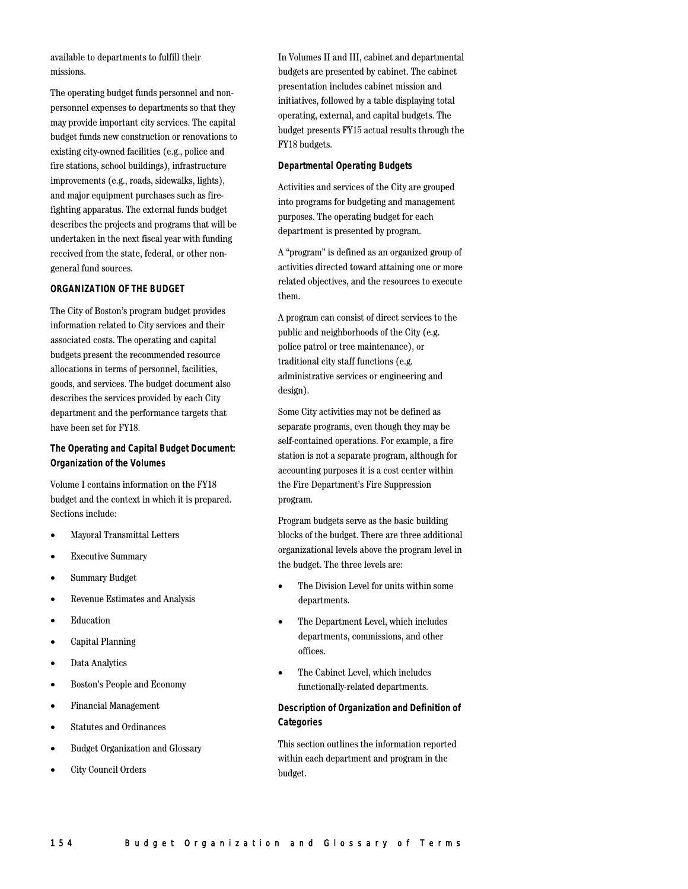available to departments to fulfill their missions.

The operating budget funds personnel and nonpersonnel expenses to departments so that they may provide important city services. The capital budget funds new construction or renovations to existing city-owned facilities (e.g., police and fire stations, school buildings), infrastructure improvements (e.g., roads, sidewalks, lights), and major equipment purchases such as firefighting apparatus. The external funds budget describes the projects and programs that will be undertaken in the next fiscal year with funding received from the state, federal, or other nongeneral fund sources.

# **ORGANIZATION OF THE BUDGET**

The City of Boston's program budget provides information related to City services and their associated costs. The operating and capital budgets present the recommended resource allocations in terms of personnel, facilities, goods, and services. The budget document also describes the services provided by each City department and the performance targets that have been set for FY18.

# **The Operating and Capital Budget Document: Organization of the Volumes**

Volume I contains information on the FY18 budget and the context in which it is prepared. Sections include:

- Mayoral Transmittal Letters
- Executive Summary
- Summary Budget
- Revenue Estimates and Analysis
- Education
- Capital Planning
- Data Analytics
- Boston's People and Economy
- Financial Management
- Statutes and Ordinances
- Budget Organization and Glossary
- City Council Orders

In Volumes II and III, cabinet and departmental budgets are presented by cabinet. The cabinet presentation includes cabinet mission and initiatives, followed by a table displaying total operating, external, and capital budgets. The budget presents FY15 actual results through the FY18 budgets.

# **Departmental Operating Budgets**

Activities and services of the City are grouped into programs for budgeting and management purposes. The operating budget for each department is presented by program.

A "program" is defined as an organized group of activities directed toward attaining one or more related objectives, and the resources to execute them.

A program can consist of direct services to the public and neighborhoods of the City (e.g. police patrol or tree maintenance), or traditional city staff functions (e.g. administrative services or engineering and design).

Some City activities may not be defined as separate programs, even though they may be self-contained operations. For example, a fire station is not a separate program, although for accounting purposes it is a cost center within the Fire Department's Fire Suppression program.

Program budgets serve as the basic building blocks of the budget. There are three additional organizational levels above the program level in the budget. The three levels are:

- The Division Level for units within some departments.
- The Department Level, which includes departments, commissions, and other offices.
- The Cabinet Level, which includes functionally-related departments.

# **Description of Organization and Definition of Categories**

This section outlines the information reported within each department and program in the budget.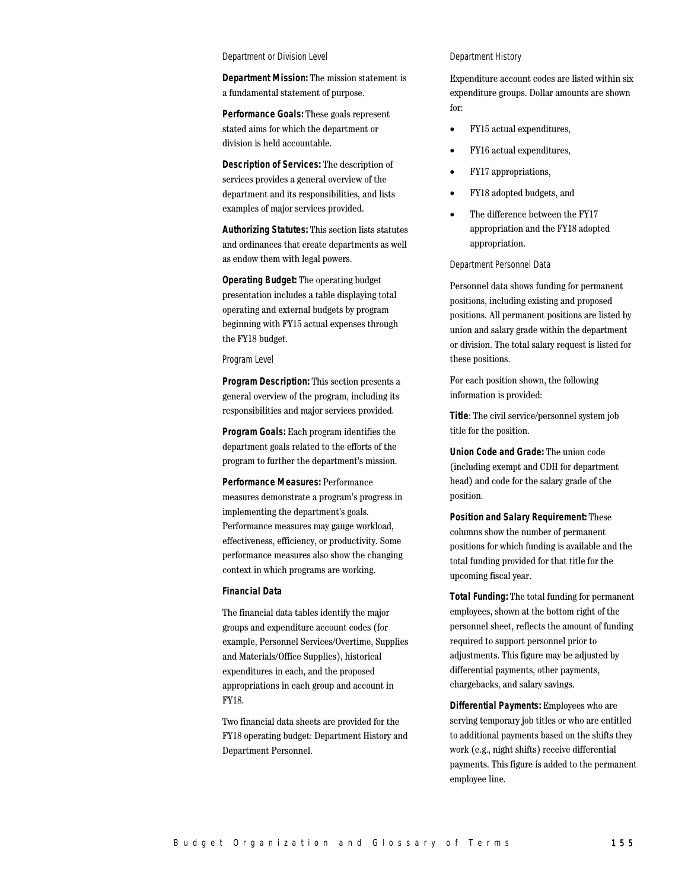#### Department or Division Level

**Department Mission:** The mission statement is a fundamental statement of purpose.

**Performance Goals:** These goals represent stated aims for which the department or division is held accountable.

**Description of Services:** The description of services provides a general overview of the department and its responsibilities, and lists examples of major services provided.

**Authorizing Statutes:** This section lists statutes and ordinances that create departments as well as endow them with legal powers.

**Operating Budget:** The operating budget presentation includes a table displaying total operating and external budgets by program beginning with FY15 actual expenses through the FY18 budget.

#### Program Level

**Program Description:** This section presents a general overview of the program, including its responsibilities and major services provided.

**Program Goals:** Each program identifies the department goals related to the efforts of the program to further the department's mission.

**Performance Measures:** Performance measures demonstrate a program's progress in implementing the department's goals. Performance measures may gauge workload, effectiveness, efficiency, or productivity. Some performance measures also show the changing context in which programs are working.

# **Financial Data**

The financial data tables identify the major groups and expenditure account codes (for example, Personnel Services/Overtime, Supplies and Materials/Office Supplies), historical expenditures in each, and the proposed appropriations in each group and account in FY18.

Two financial data sheets are provided for the FY18 operating budget: Department History and Department Personnel.

# Department History

Expenditure account codes are listed within six expenditure groups. Dollar amounts are shown for:

- FY15 actual expenditures,
- FY16 actual expenditures,
- FY17 appropriations,
- FY18 adopted budgets, and
- The difference between the FY17 appropriation and the FY18 adopted appropriation.

# Department Personnel Data

Personnel data shows funding for permanent positions, including existing and proposed positions. All permanent positions are listed by union and salary grade within the department or division. The total salary request is listed for these positions.

For each position shown, the following information is provided:

**Title**: The civil service/personnel system job title for the position.

**Union Code and Grade:** The union code (including exempt and CDH for department head) and code for the salary grade of the position.

**Position and Salary Requirement:** These columns show the number of permanent positions for which funding is available and the total funding provided for that title for the upcoming fiscal year.

**Total Funding:** The total funding for permanent employees, shown at the bottom right of the personnel sheet, reflects the amount of funding required to support personnel prior to adjustments. This figure may be adjusted by differential payments, other payments, chargebacks, and salary savings.

**Differential Payments:** Employees who are serving temporary job titles or who are entitled to additional payments based on the shifts they work (e.g., night shifts) receive differential payments. This figure is added to the permanent employee line.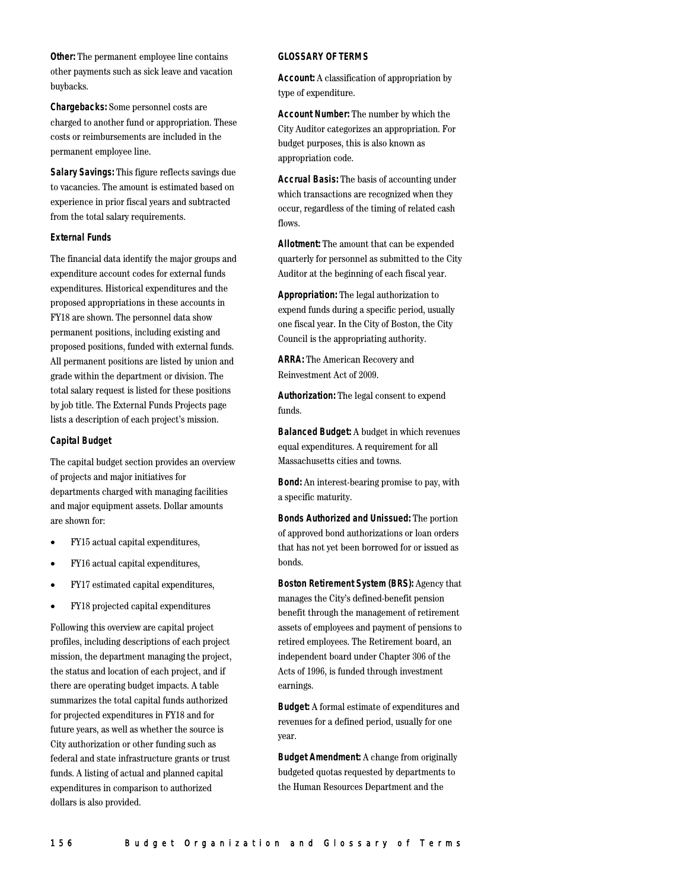**Other:** The permanent employee line contains other payments such as sick leave and vacation buybacks.

**Chargebacks:** Some personnel costs are charged to another fund or appropriation. These costs or reimbursements are included in the permanent employee line.

**Salary Savings:** This figure reflects savings due to vacancies. The amount is estimated based on experience in prior fiscal years and subtracted from the total salary requirements.

# **External Funds**

The financial data identify the major groups and expenditure account codes for external funds expenditures. Historical expenditures and the proposed appropriations in these accounts in FY18 are shown. The personnel data show permanent positions, including existing and proposed positions, funded with external funds. All permanent positions are listed by union and grade within the department or division. The total salary request is listed for these positions by job title. The External Funds Projects page lists a description of each project's mission.

#### **Capital Budget**

The capital budget section provides an overview of projects and major initiatives for departments charged with managing facilities and major equipment assets. Dollar amounts are shown for:

- FY15 actual capital expenditures,
- FY16 actual capital expenditures,
- FY17 estimated capital expenditures,
- FY18 projected capital expenditures

Following this overview are capital project profiles, including descriptions of each project mission, the department managing the project, the status and location of each project, and if there are operating budget impacts. A table summarizes the total capital funds authorized for projected expenditures in FY18 and for future years, as well as whether the source is City authorization or other funding such as federal and state infrastructure grants or trust funds. A listing of actual and planned capital expenditures in comparison to authorized dollars is also provided.

# **GLOSSARY OF TERMS**

**Account:** A classification of appropriation by type of expenditure.

**Account Number:** The number by which the City Auditor categorizes an appropriation. For budget purposes, this is also known as appropriation code.

**Accrual Basis:** The basis of accounting under which transactions are recognized when they occur, regardless of the timing of related cash flows.

**Allotment:** The amount that can be expended quarterly for personnel as submitted to the City Auditor at the beginning of each fiscal year.

**Appropriation:** The legal authorization to expend funds during a specific period, usually one fiscal year. In the City of Boston, the City Council is the appropriating authority.

**ARRA:** The American Recovery and Reinvestment Act of 2009.

**Authorization:** The legal consent to expend funds.

**Balanced Budget:** A budget in which revenues equal expenditures. A requirement for all Massachusetts cities and towns.

**Bond:** An interest-bearing promise to pay, with a specific maturity.

**Bonds Authorized and Unissued:** The portion of approved bond authorizations or loan orders that has not yet been borrowed for or issued as bonds.

**Boston Retirement System (BRS):** Agency that manages the City's defined-benefit pension benefit through the management of retirement assets of employees and payment of pensions to retired employees. The Retirement board, an independent board under Chapter 306 of the Acts of 1996, is funded through investment earnings.

**Budget:** A formal estimate of expenditures and revenues for a defined period, usually for one year.

**Budget Amendment:** A change from originally budgeted quotas requested by departments to the Human Resources Department and the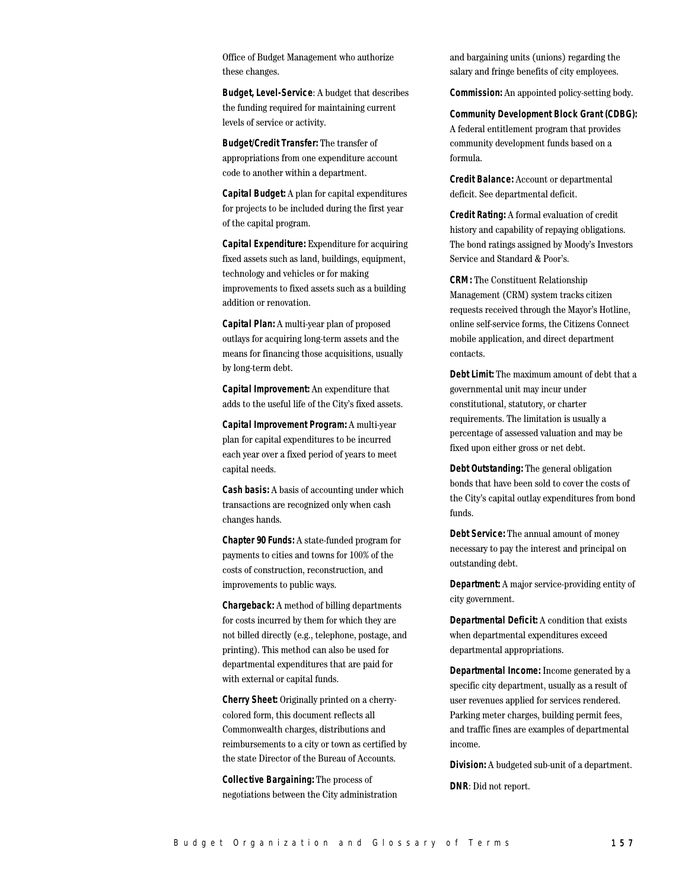Office of Budget Management who authorize these changes.

**Budget, Level-Service**: A budget that describes the funding required for maintaining current levels of service or activity.

**Budget/Credit Transfer:** The transfer of appropriations from one expenditure account code to another within a department.

**Capital Budget:** A plan for capital expenditures for projects to be included during the first year of the capital program.

**Capital Expenditure:** Expenditure for acquiring fixed assets such as land, buildings, equipment, technology and vehicles or for making improvements to fixed assets such as a building addition or renovation.

**Capital Plan:** A multi-year plan of proposed outlays for acquiring long-term assets and the means for financing those acquisitions, usually by long-term debt.

**Capital Improvement:** An expenditure that adds to the useful life of the City's fixed assets.

**Capital Improvement Program:** A multi-year plan for capital expenditures to be incurred each year over a fixed period of years to meet capital needs.

**Cash basis:** A basis of accounting under which transactions are recognized only when cash changes hands.

**Chapter 90 Funds:** A state-funded program for payments to cities and towns for 100% of the costs of construction, reconstruction, and improvements to public ways.

**Chargeback:** A method of billing departments for costs incurred by them for which they are not billed directly (e.g., telephone, postage, and printing). This method can also be used for departmental expenditures that are paid for with external or capital funds.

**Cherry Sheet:** Originally printed on a cherrycolored form, this document reflects all Commonwealth charges, distributions and reimbursements to a city or town as certified by the state Director of the Bureau of Accounts.

**Collective Bargaining:** The process of negotiations between the City administration and bargaining units (unions) regarding the salary and fringe benefits of city employees.

**Commission:** An appointed policy-setting body.

**Community Development Block Grant (CDBG):** A federal entitlement program that provides community development funds based on a formula.

**Credit Balance:** Account or departmental deficit. See departmental deficit.

**Credit Rating:** A formal evaluation of credit history and capability of repaying obligations. The bond ratings assigned by Moody's Investors Service and Standard & Poor's.

**CRM:** The Constituent Relationship Management (CRM) system tracks citizen requests received through the Mayor's Hotline, online self-service forms, the Citizens Connect mobile application, and direct department contacts.

**Debt Limit:** The maximum amount of debt that a governmental unit may incur under constitutional, statutory, or charter requirements. The limitation is usually a percentage of assessed valuation and may be fixed upon either gross or net debt.

**Debt Outstanding:** The general obligation bonds that have been sold to cover the costs of the City's capital outlay expenditures from bond funds.

**Debt Service:** The annual amount of money necessary to pay the interest and principal on outstanding debt.

**Department:** A major service-providing entity of city government.

**Departmental Deficit:** A condition that exists when departmental expenditures exceed departmental appropriations.

**Departmental Income:** Income generated by a specific city department, usually as a result of user revenues applied for services rendered. Parking meter charges, building permit fees, and traffic fines are examples of departmental income.

**Division:** A budgeted sub-unit of a department.

**DNR**: Did not report.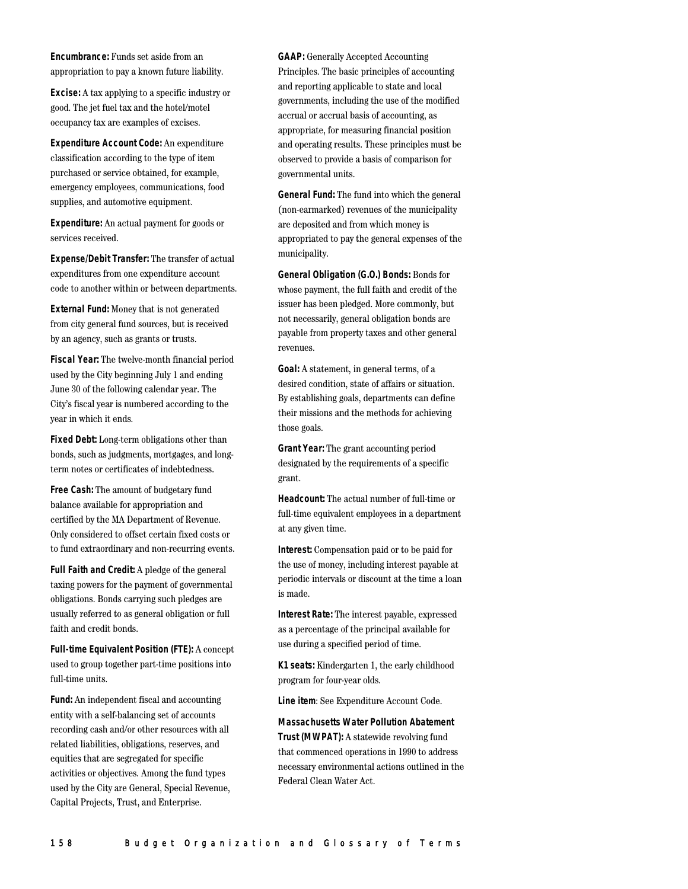**Encumbrance:** Funds set aside from an appropriation to pay a known future liability.

**Excise:** A tax applying to a specific industry or good. The jet fuel tax and the hotel/motel occupancy tax are examples of excises.

**Expenditure Account Code:** An expenditure classification according to the type of item purchased or service obtained, for example, emergency employees, communications, food supplies, and automotive equipment.

**Expenditure:** An actual payment for goods or services received.

**Expense/Debit Transfer:** The transfer of actual expenditures from one expenditure account code to another within or between departments.

**External Fund:** Money that is not generated from city general fund sources, but is received by an agency, such as grants or trusts.

**Fiscal Year:** The twelve-month financial period used by the City beginning July 1 and ending June 30 of the following calendar year. The City's fiscal year is numbered according to the year in which it ends.

**Fixed Debt:** Long-term obligations other than bonds, such as judgments, mortgages, and longterm notes or certificates of indebtedness.

**Free Cash:** The amount of budgetary fund balance available for appropriation and certified by the MA Department of Revenue. Only considered to offset certain fixed costs or to fund extraordinary and non-recurring events.

**Full Faith and Credit:** A pledge of the general taxing powers for the payment of governmental obligations. Bonds carrying such pledges are usually referred to as general obligation or full faith and credit bonds.

**Full-time Equivalent Position (FTE):** A concept used to group together part-time positions into full-time units.

**Fund:** An independent fiscal and accounting entity with a self-balancing set of accounts recording cash and/or other resources with all related liabilities, obligations, reserves, and equities that are segregated for specific activities or objectives. Among the fund types used by the City are General, Special Revenue, Capital Projects, Trust, and Enterprise.

**GAAP:** Generally Accepted Accounting Principles. The basic principles of accounting and reporting applicable to state and local governments, including the use of the modified accrual or accrual basis of accounting, as appropriate, for measuring financial position and operating results. These principles must be observed to provide a basis of comparison for governmental units.

**General Fund:** The fund into which the general (non-earmarked) revenues of the municipality are deposited and from which money is appropriated to pay the general expenses of the municipality.

**General Obligation (G.O.) Bonds:** Bonds for whose payment, the full faith and credit of the issuer has been pledged. More commonly, but not necessarily, general obligation bonds are payable from property taxes and other general revenues.

**Goal:** A statement, in general terms, of a desired condition, state of affairs or situation. By establishing goals, departments can define their missions and the methods for achieving those goals.

**Grant Year:** The grant accounting period designated by the requirements of a specific grant.

**Headcount:** The actual number of full-time or full-time equivalent employees in a department at any given time.

**Interest:** Compensation paid or to be paid for the use of money, including interest payable at periodic intervals or discount at the time a loan is made.

**Interest Rate:** The interest payable, expressed as a percentage of the principal available for use during a specified period of time.

**K1 seats:** Kindergarten 1, the early childhood program for four-year olds.

**Line item**: See Expenditure Account Code.

**Massachusetts Water Pollution Abatement Trust (MWPAT):** A statewide revolving fund that commenced operations in 1990 to address necessary environmental actions outlined in the Federal Clean Water Act.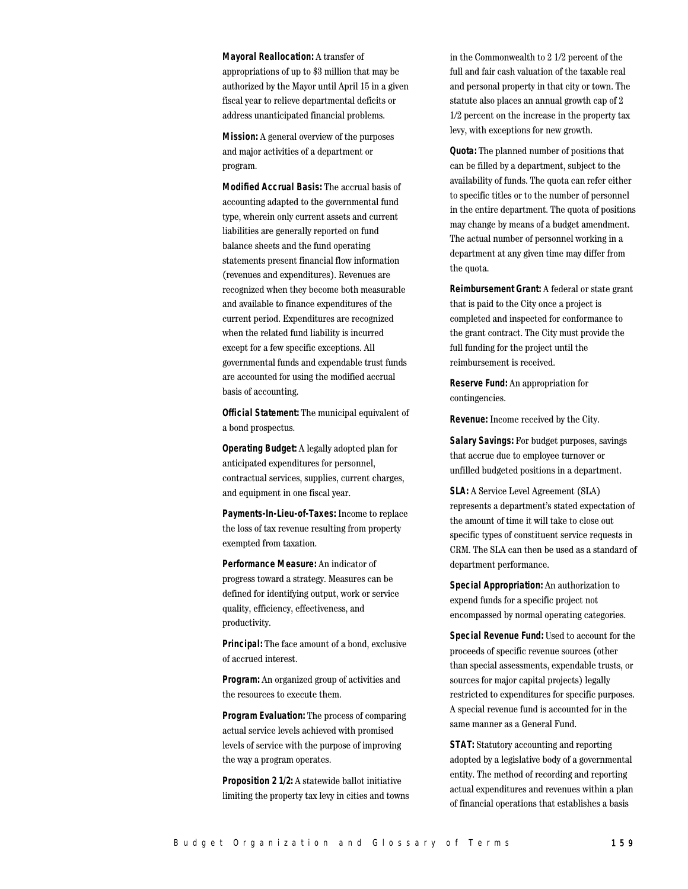**Mayoral Reallocation:** A transfer of appropriations of up to \$3 million that may be authorized by the Mayor until April 15 in a given fiscal year to relieve departmental deficits or address unanticipated financial problems.

**Mission:** A general overview of the purposes and major activities of a department or program.

**Modified Accrual Basis:** The accrual basis of accounting adapted to the governmental fund type, wherein only current assets and current liabilities are generally reported on fund balance sheets and the fund operating statements present financial flow information (revenues and expenditures). Revenues are recognized when they become both measurable and available to finance expenditures of the current period. Expenditures are recognized when the related fund liability is incurred except for a few specific exceptions. All governmental funds and expendable trust funds are accounted for using the modified accrual basis of accounting.

**Official Statement:** The municipal equivalent of a bond prospectus.

**Operating Budget:** A legally adopted plan for anticipated expenditures for personnel, contractual services, supplies, current charges, and equipment in one fiscal year.

**Payments-In-Lieu-of-Taxes:** Income to replace the loss of tax revenue resulting from property exempted from taxation.

**Performance Measure:** An indicator of progress toward a strategy. Measures can be defined for identifying output, work or service quality, efficiency, effectiveness, and productivity.

**Principal:** The face amount of a bond, exclusive of accrued interest.

**Program:** An organized group of activities and the resources to execute them.

**Program Evaluation:** The process of comparing actual service levels achieved with promised levels of service with the purpose of improving the way a program operates.

**Proposition 2 1/2:** A statewide ballot initiative limiting the property tax levy in cities and towns in the Commonwealth to 2 1/2 percent of the full and fair cash valuation of the taxable real and personal property in that city or town. The statute also places an annual growth cap of 2 1/2 percent on the increase in the property tax levy, with exceptions for new growth.

**Quota:** The planned number of positions that can be filled by a department, subject to the availability of funds. The quota can refer either to specific titles or to the number of personnel in the entire department. The quota of positions may change by means of a budget amendment. The actual number of personnel working in a department at any given time may differ from the quota.

**Reimbursement Grant:** A federal or state grant that is paid to the City once a project is completed and inspected for conformance to the grant contract. The City must provide the full funding for the project until the reimbursement is received.

**Reserve Fund:** An appropriation for contingencies.

**Revenue:** Income received by the City.

**Salary Savings:** For budget purposes, savings that accrue due to employee turnover or unfilled budgeted positions in a department.

**SLA:** A Service Level Agreement (SLA) represents a department's stated expectation of the amount of time it will take to close out specific types of constituent service requests in CRM. The SLA can then be used as a standard of department performance.

**Special Appropriation:** An authorization to expend funds for a specific project not encompassed by normal operating categories.

**Special Revenue Fund:** Used to account for the proceeds of specific revenue sources (other than special assessments, expendable trusts, or sources for major capital projects) legally restricted to expenditures for specific purposes. A special revenue fund is accounted for in the same manner as a General Fund.

**STAT:** Statutory accounting and reporting adopted by a legislative body of a governmental entity. The method of recording and reporting actual expenditures and revenues within a plan of financial operations that establishes a basis